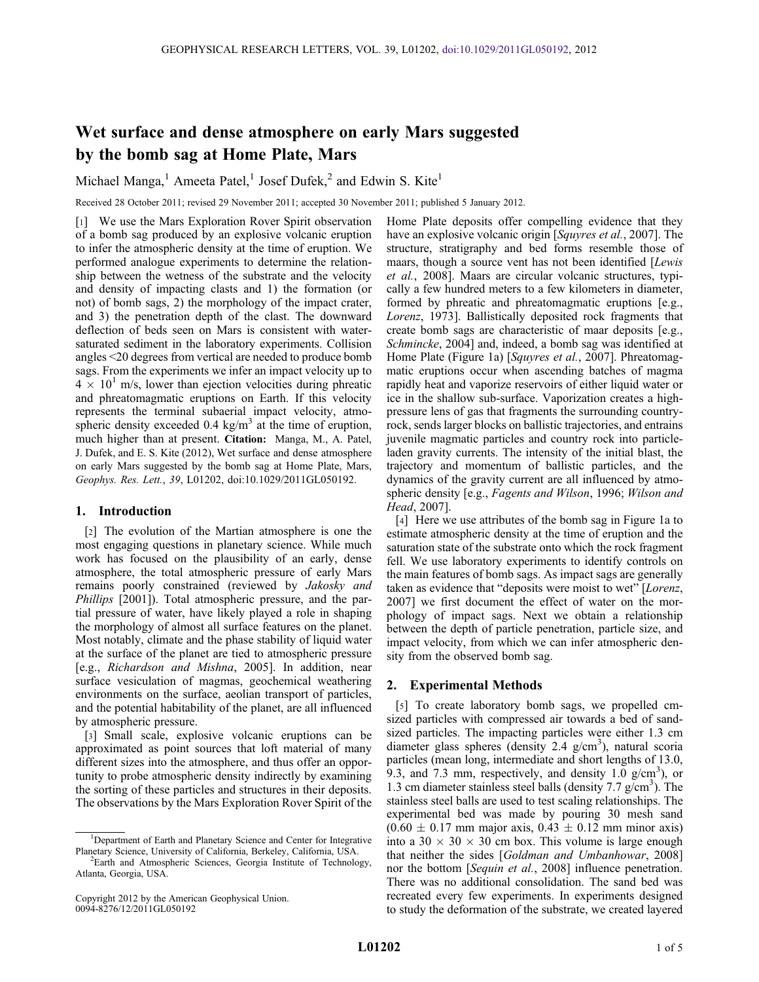# Wet surface and dense atmosphere on early Mars suggested by the bomb sag at Home Plate, Mars

Michael Manga,<sup>1</sup> Ameeta Patel,<sup>1</sup> Josef Dufek,<sup>2</sup> and Edwin S. Kite<sup>1</sup>

Received 28 October 2011; revised 29 November 2011; accepted 30 November 2011; published 5 January 2012.

[1] We use the Mars Exploration Rover Spirit observation of a bomb sag produced by an explosive volcanic eruption to infer the atmospheric density at the time of eruption. We performed analogue experiments to determine the relationship between the wetness of the substrate and the velocity and density of impacting clasts and 1) the formation (or not) of bomb sags, 2) the morphology of the impact crater, and 3) the penetration depth of the clast. The downward deflection of beds seen on Mars is consistent with watersaturated sediment in the laboratory experiments. Collision angles <20 degrees from vertical are needed to produce bomb sags. From the experiments we infer an impact velocity up to  $4 \times 10^{1}$  m/s, lower than ejection velocities during phreatic and phreatomagmatic eruptions on Earth. If this velocity represents the terminal subaerial impact velocity, atmospheric density exceeded 0.4 kg/ $m<sup>3</sup>$  at the time of eruption, much higher than at present. Citation: Manga, M., A. Patel, J. Dufek, and E. S. Kite (2012), Wet surface and dense atmosphere on early Mars suggested by the bomb sag at Home Plate, Mars, Geophys. Res. Lett., 39, L01202, doi:10.1029/2011GL050192.

## 1. Introduction

[2] The evolution of the Martian atmosphere is one the most engaging questions in planetary science. While much work has focused on the plausibility of an early, dense atmosphere, the total atmospheric pressure of early Mars remains poorly constrained (reviewed by Jakosky and Phillips [2001]). Total atmospheric pressure, and the partial pressure of water, have likely played a role in shaping the morphology of almost all surface features on the planet. Most notably, climate and the phase stability of liquid water at the surface of the planet are tied to atmospheric pressure [e.g., Richardson and Mishna, 2005]. In addition, near surface vesiculation of magmas, geochemical weathering environments on the surface, aeolian transport of particles, and the potential habitability of the planet, are all influenced by atmospheric pressure.

[3] Small scale, explosive volcanic eruptions can be approximated as point sources that loft material of many different sizes into the atmosphere, and thus offer an opportunity to probe atmospheric density indirectly by examining the sorting of these particles and structures in their deposits. The observations by the Mars Exploration Rover Spirit of the Home Plate deposits offer compelling evidence that they have an explosive volcanic origin [Squyres et al., 2007]. The structure, stratigraphy and bed forms resemble those of maars, though a source vent has not been identified [Lewis et al., 2008]. Maars are circular volcanic structures, typically a few hundred meters to a few kilometers in diameter, formed by phreatic and phreatomagmatic eruptions [e.g., Lorenz, 1973]. Ballistically deposited rock fragments that create bomb sags are characteristic of maar deposits [e.g., Schmincke, 2004] and, indeed, a bomb sag was identified at Home Plate (Figure 1a) [Squyres et al., 2007]. Phreatomagmatic eruptions occur when ascending batches of magma rapidly heat and vaporize reservoirs of either liquid water or ice in the shallow sub-surface. Vaporization creates a highpressure lens of gas that fragments the surrounding countryrock, sends larger blocks on ballistic trajectories, and entrains juvenile magmatic particles and country rock into particleladen gravity currents. The intensity of the initial blast, the trajectory and momentum of ballistic particles, and the dynamics of the gravity current are all influenced by atmospheric density [e.g., Fagents and Wilson, 1996; Wilson and Head, 2007].

[4] Here we use attributes of the bomb sag in Figure 1a to estimate atmospheric density at the time of eruption and the saturation state of the substrate onto which the rock fragment fell. We use laboratory experiments to identify controls on the main features of bomb sags. As impact sags are generally taken as evidence that "deposits were moist to wet" [Lorenz, 2007] we first document the effect of water on the morphology of impact sags. Next we obtain a relationship between the depth of particle penetration, particle size, and impact velocity, from which we can infer atmospheric density from the observed bomb sag.

### 2. Experimental Methods

[5] To create laboratory bomb sags, we propelled cmsized particles with compressed air towards a bed of sandsized particles. The impacting particles were either 1.3 cm diameter glass spheres (density 2.4 g/cm<sup>3</sup>), natural scoria particles (mean long, intermediate and short lengths of 13.0, 9.3, and 7.3 mm, respectively, and density  $1.\overline{0}$  g/cm<sup>3</sup>), or 1.3 cm diameter stainless steel balls (density 7.7 g/cm<sup>3</sup>). The stainless steel balls are used to test scaling relationships. The experimental bed was made by pouring 30 mesh sand  $(0.60 \pm 0.17 \text{ mm} \text{ major axis}, 0.43 \pm 0.12 \text{ mm} \text{ minor axis})$ into a 30  $\times$  30  $\times$  30 cm box. This volume is large enough that neither the sides [Goldman and Umbanhowar, 2008] nor the bottom [Sequin et al., 2008] influence penetration. There was no additional consolidation. The sand bed was recreated every few experiments. In experiments designed to study the deformation of the substrate, we created layered

<sup>&</sup>lt;sup>1</sup>Department of Earth and Planetary Science and Center for Integrative Planetary Science, University of California, Berkeley, California, USA. <sup>2</sup>

<sup>&</sup>lt;sup>2</sup>Earth and Atmospheric Sciences, Georgia Institute of Technology, Atlanta, Georgia, USA.

Copyright 2012 by the American Geophysical Union. 0094-8276/12/2011GL050192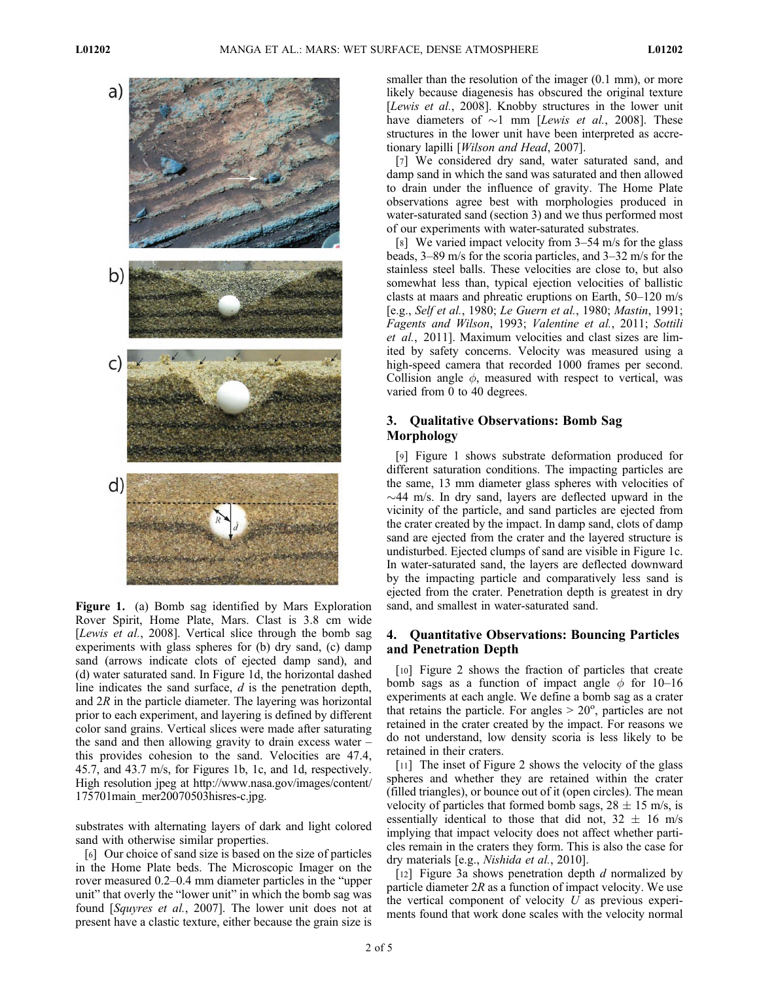

Figure 1. (a) Bomb sag identified by Mars Exploration Rover Spirit, Home Plate, Mars. Clast is 3.8 cm wide [Lewis et al., 2008]. Vertical slice through the bomb sag experiments with glass spheres for (b) dry sand, (c) damp sand (arrows indicate clots of ejected damp sand), and (d) water saturated sand. In Figure 1d, the horizontal dashed line indicates the sand surface, d is the penetration depth, and  $2R$  in the particle diameter. The layering was horizontal prior to each experiment, and layering is defined by different color sand grains. Vertical slices were made after saturating the sand and then allowing gravity to drain excess water – this provides cohesion to the sand. Velocities are 47.4, 45.7, and 43.7 m/s, for Figures 1b, 1c, and 1d, respectively. High resolution jpeg at http://www.nasa.gov/images/content/ 175701main\_mer20070503hisres-c.jpg.

substrates with alternating layers of dark and light colored sand with otherwise similar properties.

[6] Our choice of sand size is based on the size of particles in the Home Plate beds. The Microscopic Imager on the rover measured 0.2–0.4 mm diameter particles in the "upper unit" that overly the "lower unit" in which the bomb sag was found [Squyres et al., 2007]. The lower unit does not at present have a clastic texture, either because the grain size is

smaller than the resolution of the imager  $(0.1 \text{ mm})$ , or more likely because diagenesis has obscured the original texture [Lewis et al., 2008]. Knobby structures in the lower unit have diameters of  $\sim$ 1 mm [Lewis et al., 2008]. These structures in the lower unit have been interpreted as accretionary lapilli [Wilson and Head, 2007].

[7] We considered dry sand, water saturated sand, and damp sand in which the sand was saturated and then allowed to drain under the influence of gravity. The Home Plate observations agree best with morphologies produced in water-saturated sand (section 3) and we thus performed most of our experiments with water-saturated substrates.

[8] We varied impact velocity from 3–54 m/s for the glass beads, 3–89 m/s for the scoria particles, and 3–32 m/s for the stainless steel balls. These velocities are close to, but also somewhat less than, typical ejection velocities of ballistic clasts at maars and phreatic eruptions on Earth, 50–120 m/s [e.g., Self et al., 1980; Le Guern et al., 1980; Mastin, 1991; Fagents and Wilson, 1993; Valentine et al., 2011; Sottili et al., 2011]. Maximum velocities and clast sizes are limited by safety concerns. Velocity was measured using a high-speed camera that recorded 1000 frames per second. Collision angle  $\phi$ , measured with respect to vertical, was varied from 0 to 40 degrees.

## 3. Qualitative Observations: Bomb Sag Morphology

[9] Figure 1 shows substrate deformation produced for different saturation conditions. The impacting particles are the same, 13 mm diameter glass spheres with velocities of  $\sim$ 44 m/s. In dry sand, layers are deflected upward in the vicinity of the particle, and sand particles are ejected from the crater created by the impact. In damp sand, clots of damp sand are ejected from the crater and the layered structure is undisturbed. Ejected clumps of sand are visible in Figure 1c. In water-saturated sand, the layers are deflected downward by the impacting particle and comparatively less sand is ejected from the crater. Penetration depth is greatest in dry sand, and smallest in water-saturated sand.

## 4. Quantitative Observations: Bouncing Particles and Penetration Depth

[10] Figure 2 shows the fraction of particles that create bomb sags as a function of impact angle  $\phi$  for 10–16 experiments at each angle. We define a bomb sag as a crater that retains the particle. For angles  $> 20^\circ$ , particles are not retained in the crater created by the impact. For reasons we do not understand, low density scoria is less likely to be retained in their craters.

[11] The inset of Figure 2 shows the velocity of the glass spheres and whether they are retained within the crater (filled triangles), or bounce out of it (open circles). The mean velocity of particles that formed bomb sags,  $28 \pm 15$  m/s, is essentially identical to those that did not,  $32 \pm 16$  m/s implying that impact velocity does not affect whether particles remain in the craters they form. This is also the case for dry materials [e.g., Nishida et al., 2010].

[12] Figure 3a shows penetration depth  $d$  normalized by particle diameter  $2R$  as a function of impact velocity. We use the vertical component of velocity  $U$  as previous experiments found that work done scales with the velocity normal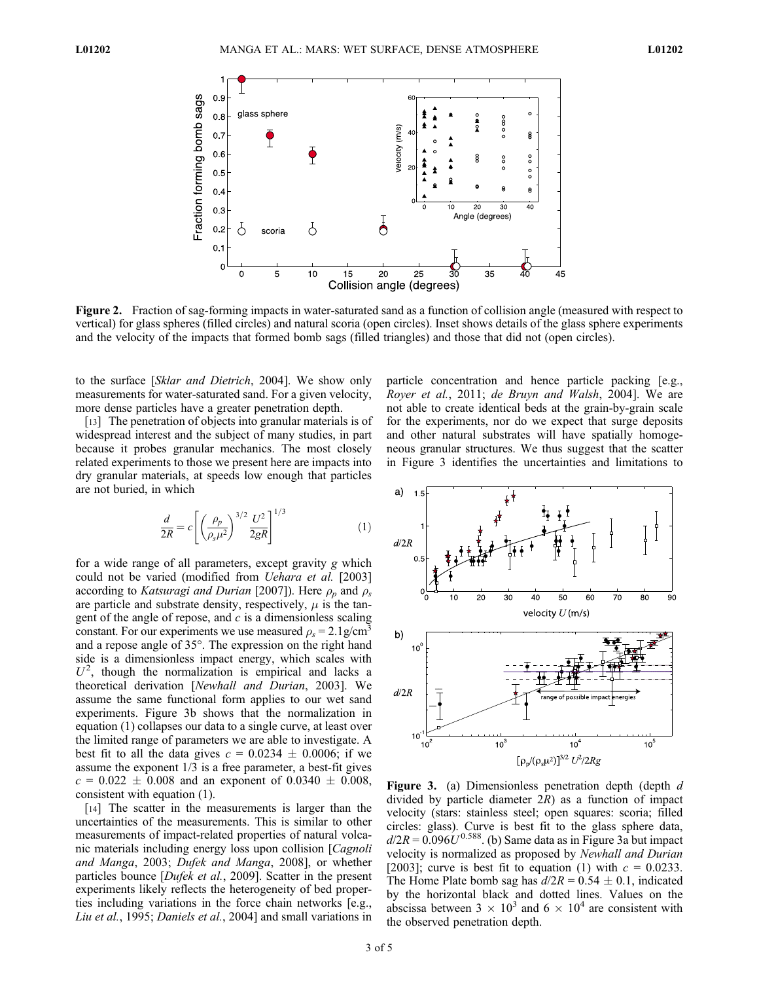

Figure 2. Fraction of sag-forming impacts in water-saturated sand as a function of collision angle (measured with respect to vertical) for glass spheres (filled circles) and natural scoria (open circles). Inset shows details of the glass sphere experiments and the velocity of the impacts that formed bomb sags (filled triangles) and those that did not (open circles).

to the surface [Sklar and Dietrich, 2004]. We show only measurements for water-saturated sand. For a given velocity, more dense particles have a greater penetration depth.

[13] The penetration of objects into granular materials is of widespread interest and the subject of many studies, in part because it probes granular mechanics. The most closely related experiments to those we present here are impacts into dry granular materials, at speeds low enough that particles are not buried, in which

$$
\frac{d}{2R} = c \left[ \left( \frac{\rho_p}{\rho_s \mu^2} \right)^{3/2} \frac{U^2}{2gR} \right]^{1/3} \tag{1}
$$

for a wide range of all parameters, except gravity g which could not be varied (modified from Uehara et al. [2003] according to Katsuragi and Durian [2007]). Here  $\rho_p$  and  $\rho_s$ are particle and substrate density, respectively,  $\mu$  is the tangent of the angle of repose, and  $c$  is a dimensionless scaling constant. For our experiments we use measured  $\rho_s = 2.1$  g/cm<sup>3</sup> and a repose angle of 35°. The expression on the right hand side is a dimensionless impact energy, which scales with  $U<sup>2</sup>$ , though the normalization is empirical and lacks a theoretical derivation [Newhall and Durian, 2003]. We assume the same functional form applies to our wet sand experiments. Figure 3b shows that the normalization in equation (1) collapses our data to a single curve, at least over the limited range of parameters we are able to investigate. A best fit to all the data gives  $c = 0.0234 \pm 0.0006$ ; if we assume the exponent 1/3 is a free parameter, a best-fit gives  $c = 0.022 \pm 0.008$  and an exponent of  $0.0340 \pm 0.008$ , consistent with equation (1).

[14] The scatter in the measurements is larger than the uncertainties of the measurements. This is similar to other measurements of impact-related properties of natural volcanic materials including energy loss upon collision [Cagnoli and Manga, 2003; Dufek and Manga, 2008], or whether particles bounce [Dufek et al., 2009]. Scatter in the present experiments likely reflects the heterogeneity of bed properties including variations in the force chain networks [e.g., Liu et al., 1995; Daniels et al., 2004] and small variations in

particle concentration and hence particle packing [e.g., Royer et al., 2011; de Bruyn and Walsh, 2004]. We are not able to create identical beds at the grain-by-grain scale for the experiments, nor do we expect that surge deposits and other natural substrates will have spatially homogeneous granular structures. We thus suggest that the scatter in Figure 3 identifies the uncertainties and limitations to



Figure 3. (a) Dimensionless penetration depth (depth  $d$ divided by particle diameter  $2R$ ) as a function of impact velocity (stars: stainless steel; open squares: scoria; filled circles: glass). Curve is best fit to the glass sphere data,  $d/2R = 0.096U^{0.588}$ . (b) Same data as in Figure 3a but impact velocity is normalized as proposed by Newhall and Durian [2003]; curve is best fit to equation (1) with  $c = 0.0233$ . The Home Plate bomb sag has  $d/2R = 0.54 \pm 0.1$ , indicated by the horizontal black and dotted lines. Values on the abscissa between  $3 \times 10^3$  and  $6 \times 10^4$  are consistent with the observed penetration depth.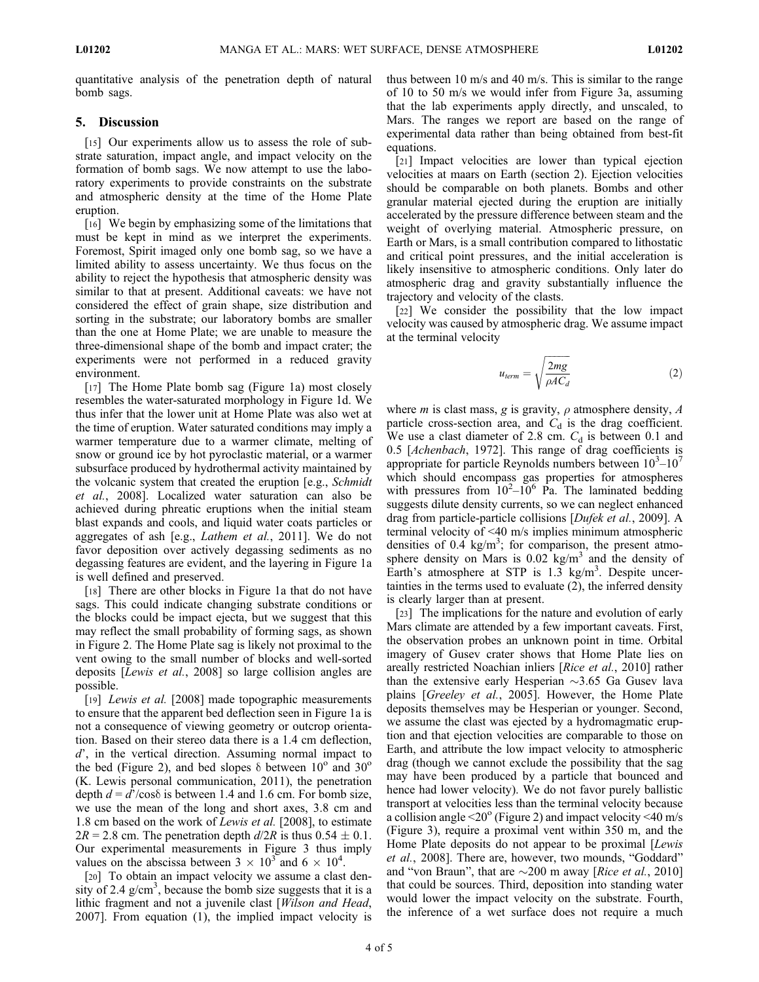quantitative analysis of the penetration depth of natural bomb sags.

# 5. Discussion

[15] Our experiments allow us to assess the role of substrate saturation, impact angle, and impact velocity on the formation of bomb sags. We now attempt to use the laboratory experiments to provide constraints on the substrate and atmospheric density at the time of the Home Plate eruption.

[16] We begin by emphasizing some of the limitations that must be kept in mind as we interpret the experiments. Foremost, Spirit imaged only one bomb sag, so we have a limited ability to assess uncertainty. We thus focus on the ability to reject the hypothesis that atmospheric density was similar to that at present. Additional caveats: we have not considered the effect of grain shape, size distribution and sorting in the substrate; our laboratory bombs are smaller than the one at Home Plate; we are unable to measure the three-dimensional shape of the bomb and impact crater; the experiments were not performed in a reduced gravity environment.

[17] The Home Plate bomb sag (Figure 1a) most closely resembles the water-saturated morphology in Figure 1d. We thus infer that the lower unit at Home Plate was also wet at the time of eruption. Water saturated conditions may imply a warmer temperature due to a warmer climate, melting of snow or ground ice by hot pyroclastic material, or a warmer subsurface produced by hydrothermal activity maintained by the volcanic system that created the eruption [e.g., Schmidt] et al., 2008]. Localized water saturation can also be achieved during phreatic eruptions when the initial steam blast expands and cools, and liquid water coats particles or aggregates of ash [e.g., Lathem et al., 2011]. We do not favor deposition over actively degassing sediments as no degassing features are evident, and the layering in Figure 1a is well defined and preserved.

[18] There are other blocks in Figure 1a that do not have sags. This could indicate changing substrate conditions or the blocks could be impact ejecta, but we suggest that this may reflect the small probability of forming sags, as shown in Figure 2. The Home Plate sag is likely not proximal to the vent owing to the small number of blocks and well-sorted deposits [Lewis et al., 2008] so large collision angles are possible.

[19] Lewis et al. [2008] made topographic measurements to ensure that the apparent bed deflection seen in Figure 1a is not a consequence of viewing geometry or outcrop orientation. Based on their stereo data there is a 1.4 cm deflection, d', in the vertical direction. Assuming normal impact to the bed (Figure 2), and bed slopes  $\delta$  between  $10^{\circ}$  and  $30^{\circ}$ (K. Lewis personal communication, 2011), the penetration depth  $d = d'$ /cos $\delta$  is between 1.4 and 1.6 cm. For bomb size, we use the mean of the long and short axes, 3.8 cm and 1.8 cm based on the work of *Lewis et al.* [2008], to estimate  $2R = 2.8$  cm. The penetration depth  $d/2R$  is thus  $0.54 \pm 0.1$ . Our experimental measurements in Figure 3 thus imply values on the abscissa between  $3 \times 10^3$  and  $6 \times 10^4$ .

[20] To obtain an impact velocity we assume a clast density of 2.4  $g/cm<sup>3</sup>$ , because the bomb size suggests that it is a lithic fragment and not a juvenile clast [Wilson and Head, 2007]. From equation (1), the implied impact velocity is thus between 10 m/s and 40 m/s. This is similar to the range of 10 to 50 m/s we would infer from Figure 3a, assuming that the lab experiments apply directly, and unscaled, to Mars. The ranges we report are based on the range of experimental data rather than being obtained from best-fit equations.

[21] Impact velocities are lower than typical ejection velocities at maars on Earth (section 2). Ejection velocities should be comparable on both planets. Bombs and other granular material ejected during the eruption are initially accelerated by the pressure difference between steam and the weight of overlying material. Atmospheric pressure, on Earth or Mars, is a small contribution compared to lithostatic and critical point pressures, and the initial acceleration is likely insensitive to atmospheric conditions. Only later do atmospheric drag and gravity substantially influence the trajectory and velocity of the clasts.

[22] We consider the possibility that the low impact velocity was caused by atmospheric drag. We assume impact at the terminal velocity

$$
u_{term} = \sqrt{\frac{2mg}{\rho AC_d}}
$$
 (2)

where *m* is clast mass, *g* is gravity,  $\rho$  atmosphere density, *A* particle cross-section area, and  $C_d$  is the drag coefficient. We use a clast diameter of 2.8 cm.  $C_d$  is between 0.1 and 0.5 [Achenbach, 1972]. This range of drag coefficients is appropriate for particle Reynolds numbers between  $10^3 - 10^7$ which should encompass gas properties for atmospheres with pressures from  $10^2 - 10^6$  Pa. The laminated bedding suggests dilute density currents, so we can neglect enhanced drag from particle-particle collisions [Dufek et al., 2009]. A terminal velocity of <40 m/s implies minimum atmospheric densities of  $0.4 \text{ kg/m}^3$ ; for comparison, the present atmosphere density on Mars is  $0.02 \text{ kg/m}^3$  and the density of Earth's atmosphere at STP is  $1.3 \text{ kg/m}^3$ . Despite uncertainties in the terms used to evaluate (2), the inferred density is clearly larger than at present.

[23] The implications for the nature and evolution of early Mars climate are attended by a few important caveats. First, the observation probes an unknown point in time. Orbital imagery of Gusev crater shows that Home Plate lies on areally restricted Noachian inliers [Rice et al., 2010] rather than the extensive early Hesperian  $\sim$ 3.65 Ga Gusev lava plains [Greeley et al., 2005]. However, the Home Plate deposits themselves may be Hesperian or younger. Second, we assume the clast was ejected by a hydromagmatic eruption and that ejection velocities are comparable to those on Earth, and attribute the low impact velocity to atmospheric drag (though we cannot exclude the possibility that the sag may have been produced by a particle that bounced and hence had lower velocity). We do not favor purely ballistic transport at velocities less than the terminal velocity because a collision angle  $\leq$ 20 $\degree$  (Figure 2) and impact velocity  $\leq$ 40 m/s (Figure 3), require a proximal vent within 350 m, and the Home Plate deposits do not appear to be proximal [Lewis et al., 2008]. There are, however, two mounds, "Goddard" and "von Braun", that are  $\sim$ 200 m away [*Rice et al.*, 2010] that could be sources. Third, deposition into standing water would lower the impact velocity on the substrate. Fourth, the inference of a wet surface does not require a much